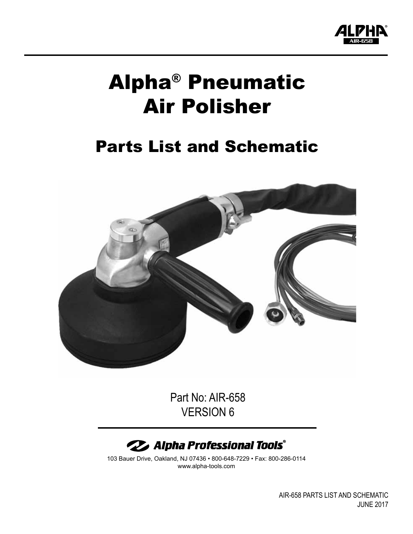

# Alpha® Pneumatic Air Polisher

# Parts List and Schematic



Part No: AIR-658 VERSION 6



103 Bauer Drive, Oakland, NJ 07436 • 800-648-7229 • Fax: 800-286-0114 www.alpha-tools.com

> AIR-658 PartS List and Schematic June 2017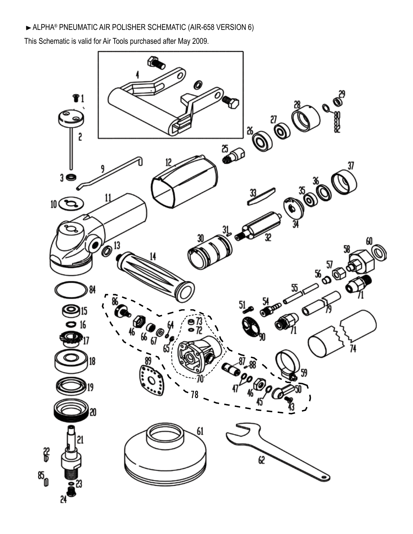### Alpha® pneumatic aIR polisher schematic (air-658 Version 6)

This Schematic is valid for Air Tools purchased after May 2009.

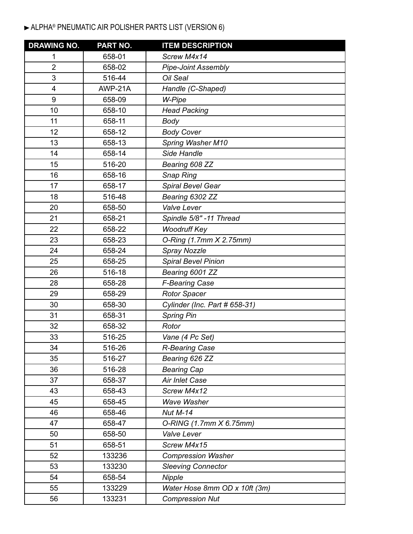# Alpha® pNEUMATIC air POLISHER parts list (version 6)

| <b>DRAWING NO.</b> | PART NO. | <b>ITEM DESCRIPTION</b>       |
|--------------------|----------|-------------------------------|
| 1                  | 658-01   | Screw M4x14                   |
| $\overline{2}$     | 658-02   | <b>Pipe-Joint Assembly</b>    |
| 3                  | 516-44   | Oil Seal                      |
| $\overline{4}$     | AWP-21A  | Handle (C-Shaped)             |
| 9                  | 658-09   | W-Pipe                        |
| 10                 | 658-10   | <b>Head Packing</b>           |
| 11                 | 658-11   | <b>Body</b>                   |
| 12                 | 658-12   | <b>Body Cover</b>             |
| 13                 | 658-13   | Spring Washer M10             |
| 14                 | 658-14   | Side Handle                   |
| 15                 | 516-20   | Bearing 608 ZZ                |
| 16                 | 658-16   | <b>Snap Ring</b>              |
| 17                 | 658-17   | Spiral Bevel Gear             |
| 18                 | 516-48   | Bearing 6302 ZZ               |
| 20                 | 658-50   | Valve Lever                   |
| 21                 | 658-21   | Spindle 5/8" -11 Thread       |
| 22                 | 658-22   | <b>Woodruff Key</b>           |
| 23                 | 658-23   | O-Ring (1.7mm X 2.75mm)       |
| 24                 | 658-24   | Spray Nozzle                  |
| 25                 | 658-25   | <b>Spiral Bevel Pinion</b>    |
| 26                 | 516-18   | Bearing 6001 ZZ               |
| 28                 | 658-28   | <b>F-Bearing Case</b>         |
| 29                 | 658-29   | <b>Rotor Spacer</b>           |
| 30                 | 658-30   | Cylinder (Inc. Part # 658-31) |
| 31                 | 658-31   | <b>Spring Pin</b>             |
| 32                 | 658-32   | Rotor                         |
| 33                 | 516-25   | Vane (4 Pc Set)               |
| 34                 | 516-26   | <b>R-Bearing Case</b>         |
| 35                 | 516-27   | Bearing 626 ZZ                |
| 36                 | 516-28   | <b>Bearing Cap</b>            |
| 37                 | 658-37   | Air Inlet Case                |
| 43                 | 658-43   | Screw M4x12                   |
| 45                 | 658-45   | Wave Washer                   |
| 46                 | 658-46   | <b>Nut M-14</b>               |
| 47                 | 658-47   | O-RING (1.7mm X 6.75mm)       |
| 50                 | 658-50   | Valve Lever                   |
| 51                 | 658-51   | Screw M4x15                   |
| 52                 | 133236   | <b>Compression Washer</b>     |
| 53                 | 133230   | <b>Sleeving Connector</b>     |
| 54                 | 658-54   | Nipple                        |
| 55                 | 133229   | Water Hose 8mm OD x 10ft (3m) |
| 56                 | 133231   | <b>Compression Nut</b>        |